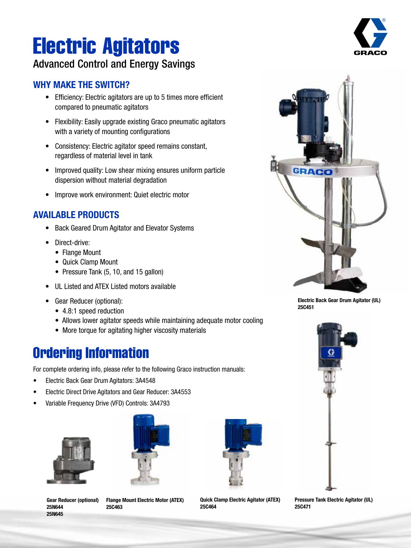# Electric Agitators

### Advanced Control and Energy Savings

#### WHY MAKE THE SWITCH?

- Efficiency: Electric agitators are up to 5 times more efficient compared to pneumatic agitators
- Flexibility: Easily upgrade existing Graco pneumatic agitators with a variety of mounting configurations
- Consistency: Electric agitator speed remains constant, regardless of material level in tank
- Improved quality: Low shear mixing ensures uniform particle dispersion without material degradation
- Improve work environment: Quiet electric motor

#### AVAILABLE PRODUCTS

- Back Geared Drum Agitator and Elevator Systems
- Direct-drive:
	- Flange Mount
	- Quick Clamp Mount
	- Pressure Tank (5, 10, and 15 gallon)
- UL Listed and ATEX Listed motors available
- Gear Reducer (optional):
	- 4.8:1 speed reduction
	- Allows lower agitator speeds while maintaining adequate motor cooling
	- More torque for agitating higher viscosity materials

## Ordering Information

For complete ordering info, please refer to the following Graco instruction manuals:

- Electric Back Gear Drum Agitators: 3A4548
- Electric Direct Drive Agitators and Gear Reducer: 3A4553
- Variable Frequency Drive (VFD) Controls: 3A4793





Gear Reducer (optional) 25N644 25N645

Flange Mount Electric Motor (ATEX) 25C463



Quick Clamp Electric Agitator (ATEX) 25C464





Electric Back Gear Drum Agitator (UL) 25C451



Pressure Tank Electric Agitator (UL) 25C471